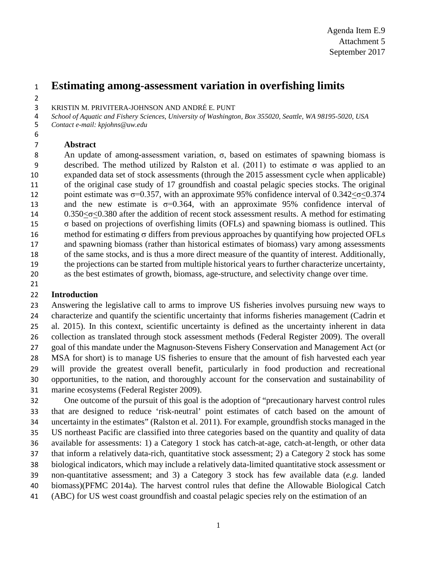# **Estimating among-assessment variation in overfishing limits**

KRISTIN M. PRIVITERA-JOHNSON AND ANDRÉ E. PUNT

*School of Aquatic and Fishery Sciences, University of Washington, Box 355020, Seattle, WA 98195-5020, USA*

*Contact e-mail: kpjohns@uw.edu*

## 

### **Abstract**

 An update of among-assessment variation, σ, based on estimates of spawning biomass is described. The method utilized by Ralston et al. (2011) to estimate σ was applied to an expanded data set of stock assessments (through the 2015 assessment cycle when applicable) of the original case study of 17 groundfish and coastal pelagic species stocks. The original 12 point estimate was  $\sigma$ =0.357, with an approximate 95% confidence interval of 0.342< $\sigma$ <0.374 13 and the new estimate is  $\sigma$ =0.364, with an approximate 95% confidence interval of 14 0.350 < σ< 0.380 after the addition of recent stock assessment results. A method for estimating σ based on projections of overfishing limits (OFLs) and spawning biomass is outlined. This method for estimating σ differs from previous approaches by quantifying how projected OFLs and spawning biomass (rather than historical estimates of biomass) vary among assessments of the same stocks, and is thus a more direct measure of the quantity of interest. Additionally, the projections can be started from multiple historical years to further characterize uncertainty, as the best estimates of growth, biomass, age-structure, and selectivity change over time.

## **Introduction**

 Answering the legislative call to arms to improve US fisheries involves pursuing new ways to characterize and quantify the scientific uncertainty that informs fisheries management (Cadrin et al. 2015). In this context, scientific uncertainty is defined as the uncertainty inherent in data collection as translated through stock assessment methods (Federal Register 2009). The overall goal of this mandate under the Magnuson-Stevens Fishery Conservation and Management Act (or MSA for short) is to manage US fisheries to ensure that the amount of fish harvested each year will provide the greatest overall benefit, particularly in food production and recreational opportunities, to the nation, and thoroughly account for the conservation and sustainability of marine ecosystems (Federal Register 2009).

 One outcome of the pursuit of this goal is the adoption of "precautionary harvest control rules that are designed to reduce 'risk-neutral' point estimates of catch based on the amount of uncertainty in the estimates" (Ralston et al. 2011). For example, groundfish stocks managed in the US northeast Pacific are classified into three categories based on the quantity and quality of data available for assessments: 1) a Category 1 stock has catch-at-age, catch-at-length, or other data that inform a relatively data-rich, quantitative stock assessment; 2) a Category 2 stock has some biological indicators, which may include a relatively data-limited quantitative stock assessment or non-quantitative assessment; and 3) a Category 3 stock has few available data (*e.g.* landed biomass)(PFMC 2014a). The harvest control rules that define the Allowable Biological Catch

(ABC) for US west coast groundfish and coastal pelagic species rely on the estimation of an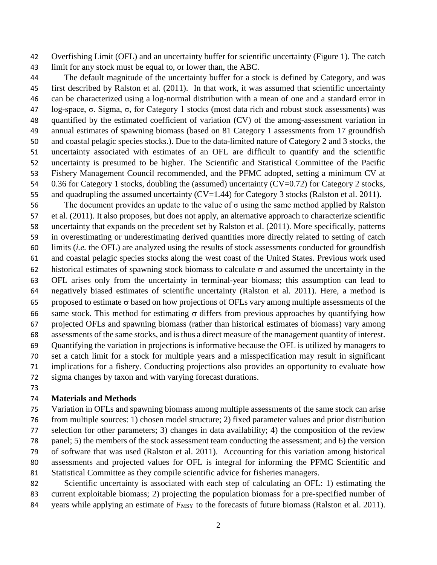Overfishing Limit (OFL) and an uncertainty buffer for scientific uncertainty (Figure 1). The catch limit for any stock must be equal to, or lower than, the ABC.

 The default magnitude of the uncertainty buffer for a stock is defined by Category, and was first described by Ralston et al. (2011). In that work, it was assumed that scientific uncertainty can be characterized using a log-normal distribution with a mean of one and a standard error in log-space, σ. Sigma, σ, for Category 1 stocks (most data rich and robust stock assessments) was quantified by the estimated coefficient of variation (CV) of the among-assessment variation in annual estimates of spawning biomass (based on 81 Category 1 assessments from 17 groundfish and coastal pelagic species stocks.). Due to the data-limited nature of Category 2 and 3 stocks, the uncertainty associated with estimates of an OFL are difficult to quantify and the scientific uncertainty is presumed to be higher. The Scientific and Statistical Committee of the Pacific Fishery Management Council recommended, and the PFMC adopted, setting a minimum CV at 54 0.36 for Category 1 stocks, doubling the (assumed) uncertainty (CV=0.72) for Category 2 stocks, 55 and quadrupling the assumed uncertainty (CV=1.44) for Category 3 stocks (Ralston et al. 2011).

56 The document provides an update to the value of σ using the same method applied by Ralston et al. (2011). It also proposes, but does not apply, an alternative approach to characterize scientific uncertainty that expands on the precedent set by Ralston et al. (2011). More specifically, patterns in overestimating or underestimating derived quantities more directly related to setting of catch limits (*i.e.* the OFL) are analyzed using the results of stock assessments conducted for groundfish and coastal pelagic species stocks along the west coast of the United States. Previous work used 62 historical estimates of spawning stock biomass to calculate  $\sigma$  and assumed the uncertainty in the OFL arises only from the uncertainty in terminal-year biomass; this assumption can lead to negatively biased estimates of scientific uncertainty (Ralston et al. 2011). Here, a method is 65 proposed to estimate  $\sigma$  based on how projections of OFLs vary among multiple assessments of the 66 same stock. This method for estimating  $\sigma$  differs from previous approaches by quantifying how projected OFLs and spawning biomass (rather than historical estimates of biomass) vary among assessments of the same stocks, and is thus a direct measure of the management quantity of interest. Quantifying the variation in projections is informative because the OFL is utilized by managers to set a catch limit for a stock for multiple years and a misspecification may result in significant implications for a fishery. Conducting projections also provides an opportunity to evaluate how sigma changes by taxon and with varying forecast durations.

#### **Materials and Methods**

 Variation in OFLs and spawning biomass among multiple assessments of the same stock can arise from multiple sources: 1) chosen model structure; 2) fixed parameter values and prior distribution selection for other parameters; 3) changes in data availability; 4) the composition of the review panel; 5) the members of the stock assessment team conducting the assessment; and 6) the version of software that was used (Ralston et al. 2011). Accounting for this variation among historical assessments and projected values for OFL is integral for informing the PFMC Scientific and Statistical Committee as they compile scientific advice for fisheries managers.

 Scientific uncertainty is associated with each step of calculating an OFL: 1) estimating the current exploitable biomass; 2) projecting the population biomass for a pre-specified number of 84 years while applying an estimate of  $F_{MSY}$  to the forecasts of future biomass (Ralston et al. 2011).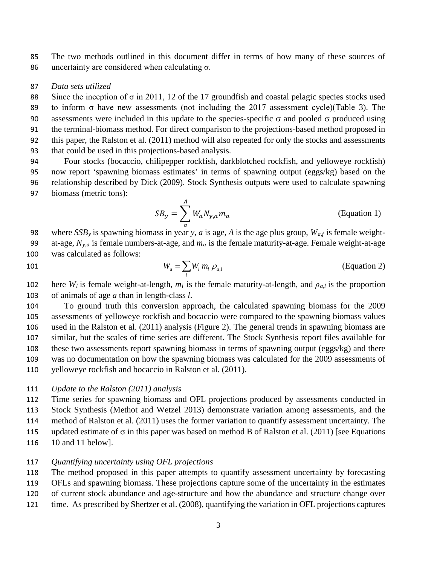The two methods outlined in this document differ in terms of how many of these sources of 86 uncertainty are considered when calculating  $\sigma$ .

#### *Data sets utilized*

 Since the inception of σ in 2011, 12 of the 17 groundfish and coastal pelagic species stocks used to inform σ have new assessments (not including the 2017 assessment cycle)(Table 3). The 90 assessments were included in this update to the species-specific  $\sigma$  and pooled  $\sigma$  produced using the terminal-biomass method. For direct comparison to the projections-based method proposed in this paper, the Ralston et al. (2011) method will also repeated for only the stocks and assessments that could be used in this projections-based analysis.

 Four stocks (bocaccio, chilipepper rockfish, darkblotched rockfish, and yelloweye rockfish) now report 'spawning biomass estimates' in terms of spawning output (eggs/kg) based on the relationship described by Dick (2009). Stock Synthesis outputs were used to calculate spawning biomass (metric tons):

$$
SB_y = \sum_{a}^{A} W_a N_{y,a} m_a
$$
 (Equation 1)

 where *SSBy* is spawning biomass in year *y*, *a* is age, *A* is the age plus group, *Wa,f* is female weight- at-age, *Ny,a* is female numbers-at-age, and *ma* is the female maturity-at-age. Female weight-at-age was calculated as follows:

$$
W_a = \sum_l W_l \, m_l \, \rho_{a,l} \tag{Equation 2}
$$

102 here  $W_l$  is female weight-at-length,  $m_l$  is the female maturity-at-length, and  $\rho_{a,l}$  is the proportion of animals of age *a* than in length-class *l*.

 To ground truth this conversion approach, the calculated spawning biomass for the 2009 assessments of yelloweye rockfish and bocaccio were compared to the spawning biomass values used in the Ralston et al. (2011) analysis (Figure 2). The general trends in spawning biomass are similar, but the scales of time series are different. The Stock Synthesis report files available for these two assessments report spawning biomass in terms of spawning output (eggs/kg) and there was no documentation on how the spawning biomass was calculated for the 2009 assessments of yelloweye rockfish and bocaccio in Ralston et al. (2011).

#### *Update to the Ralston (2011) analysis*

 Time series for spawning biomass and OFL projections produced by assessments conducted in Stock Synthesis (Methot and Wetzel 2013) demonstrate variation among assessments, and the method of Ralston et al. (2011) uses the former variation to quantify assessment uncertainty. The 115 updated estimate of  $\sigma$  in this paper was based on method B of Ralston et al. (2011) [see Equations 10 and 11 below].

#### *Quantifying uncertainty using OFL projections*

The method proposed in this paper attempts to quantify assessment uncertainty by forecasting

OFLs and spawning biomass. These projections capture some of the uncertainty in the estimates

- of current stock abundance and age-structure and how the abundance and structure change over
- time. As prescribed by Shertzer et al. (2008), quantifying the variation in OFL projections captures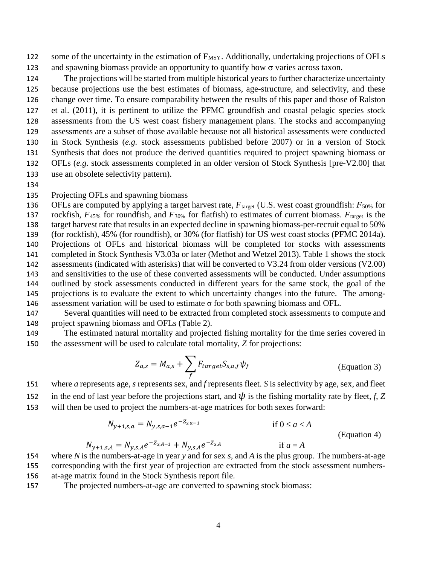122 some of the uncertainty in the estimation of F<sub>MSY</sub>. Additionally, undertaking projections of OFLs 123 and spawning biomass provide an opportunity to quantify how  $\sigma$  varies across taxon.

 The projections will be started from multiple historical years to further characterize uncertainty because projections use the best estimates of biomass, age-structure, and selectivity, and these change over time. To ensure comparability between the results of this paper and those of Ralston et al. (2011), it is pertinent to utilize the PFMC groundfish and coastal pelagic species stock assessments from the US west coast fishery management plans. The stocks and accompanying assessments are a subset of those available because not all historical assessments were conducted in Stock Synthesis (*e.g.* stock assessments published before 2007) or in a version of Stock Synthesis that does not produce the derived quantities required to project spawning biomass or OFLs (*e.g.* stock assessments completed in an older version of Stock Synthesis [pre-V2.00] that use an obsolete selectivity pattern).

- 
- Projecting OFLs and spawning biomass

136 OFLs are computed by applying a target harvest rate,  $F_{\text{target}}$  (U.S. west coast groundfish:  $F_{50\%}$  for rockfish, *F*45% for roundfish, and *F*30% for flatfish) to estimates of current biomass. *F*target is the target harvest rate that results in an expected decline in spawning biomass-per-recruit equal to 50% (for rockfish), 45% (for roundfish), or 30% (for flatfish) for US west coast stocks (PFMC 2014a). Projections of OFLs and historical biomass will be completed for stocks with assessments completed in Stock Synthesis V3.03a or later (Methot and Wetzel 2013). Table 1 shows the stock assessments (indicated with asterisks) that will be converted to V3.24 from older versions (V2.00) and sensitivities to the use of these converted assessments will be conducted. Under assumptions outlined by stock assessments conducted in different years for the same stock, the goal of the projections is to evaluate the extent to which uncertainty changes into the future. The among-146 assessment variation will be used to estimate  $\sigma$  for both spawning biomass and OFL.

 Several quantities will need to be extracted from completed stock assessments to compute and project spawning biomass and OFLs (Table 2).

 The estimated natural mortality and projected fishing mortality for the time series covered in the assessment will be used to calculate total mortality, *Z* for projections:

$$
Z_{a,s} = M_{a,s} + \sum_{f} F_{target} S_{s,a,f} \psi_f
$$
 (Equation 3)

 where *a* represents age, *s* represents sex, and *f* represents fleet. *S* is selectivity by age, sex, and fleet 152 in the end of last year before the projections start, and  $\psi$  is the fishing mortality rate by fleet, *f*, *Z* will then be used to project the numbers-at-age matrices for both sexes forward:

$$
N_{y+1,s,a} = N_{y,s,a-1}e^{-Z_{s,a-1}}
$$
 if  $0 \le a < A$  (Equation 4)

+1,, = ,,−,−1 + ,,−, if *a* = *A*

- where *N* is the numbers-at-age in year *y* and for sex *s*, and *A* is the plus group. The numbers-at-age corresponding with the first year of projection are extracted from the stock assessment numbers-at-age matrix found in the Stock Synthesis report file.
- The projected numbers-at-age are converted to spawning stock biomass: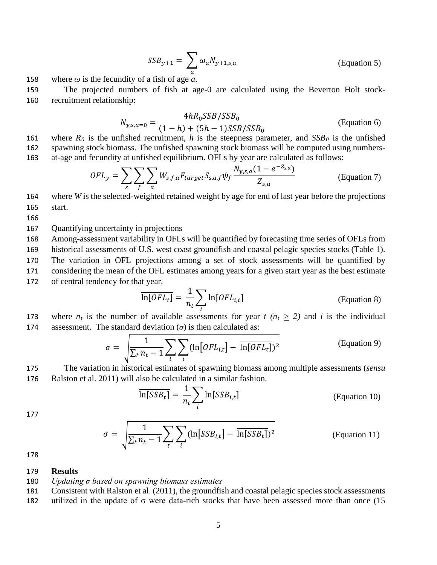$$
SSB_{y+1} = \sum_{a} \omega_a N_{y+1,s,a}
$$
 (Equation 5)

158 where  $\omega$  is the fecundity of a fish of age *a*.

159 The projected numbers of fish at age-0 are calculated using the Beverton Holt stock-160 recruitment relationship:

$$
N_{y,s,a=0} = \frac{4hR_0SSB/SSB_0}{(1-h) + (5h-1)SSB/SSB_0}
$$
 (Equation 6)

161 where  $R_0$  is the unfished recruitment, *h* is the steepness parameter, and  $SSB_0$  is the unfished 162 spawning stock biomass. The unfished spawning stock biomass will be computed using numbers-163 at-age and fecundity at unfished equilibrium. OFLs by year are calculated as follows:

$$
OFL_y = \sum_{s} \sum_{f} \sum_{a} W_{s,f,a} F_{target} S_{s,a,f} \psi_f \frac{N_{y,s,a} (1 - e^{-Z_{s,a}})}{Z_{s,a}}
$$
 (Equation 7)

164 where *W* is the selected-weighted retained weight by age for end of last year before the projections 165 start.

166

167 Quantifying uncertainty in projections

 Among-assessment variability in OFLs will be quantified by forecasting time series of OFLs from historical assessments of U.S. west coast groundfish and coastal pelagic species stocks (Table 1). The variation in OFL projections among a set of stock assessments will be quantified by considering the mean of the OFL estimates among years for a given start year as the best estimate of central tendency for that year.

$$
\overline{\ln[OFL_t]} = \frac{1}{n_t} \sum_{i} \ln[OFL_{i,t}]
$$
 (Equation 8)

173 where  $n_t$  is the number of available assessments for year  $t$  ( $n_t \geq 2$ ) and *i* is the individual 174 assessment. The standard deviation  $(\sigma)$  is then calculated as:

$$
\sigma = \sqrt{\frac{1}{\sum_t n_t - 1} \sum_t \sum_i (\ln[OFL_{i,t}] - \overline{\ln[OFL_t]})^2}
$$
 (Equation 9)

175 The variation in historical estimates of spawning biomass among multiple assessments (*sensu*  176 Ralston et al. 2011) will also be calculated in a similar fashion.

$$
\overline{\ln[SSB_t]} = \frac{1}{n_t} \sum_{i} \ln[SSB_{i,t}]
$$
 (Equation 10)

177

$$
\sigma = \sqrt{\frac{1}{\sum_t n_t - 1} \sum_t \sum_i (\ln[SSB_{i,t}] - \overline{\ln[SSB_t]})^2}
$$
 (Equation 11)

178

#### 179 **Results**

180 *Updating σ based on spawning biomass estimates*

181 Consistent with Ralston et al. (2011), the groundfish and coastal pelagic species stock assessments

182 utilized in the update of  $\sigma$  were data-rich stocks that have been assessed more than once (15)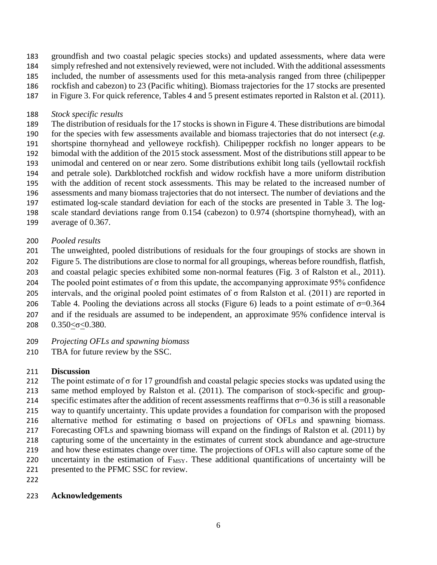- groundfish and two coastal pelagic species stocks) and updated assessments, where data were simply refreshed and not extensively reviewed, were not included. With the additional assessments
- included, the number of assessments used for this meta-analysis ranged from three (chilipepper
- rockfish and cabezon) to 23 (Pacific whiting). Biomass trajectories for the 17 stocks are presented
- in Figure 3. For quick reference, Tables 4 and 5 present estimates reported in Ralston et al. (2011).

### *Stock specific results*

- The distribution of residuals for the 17 stocks is shown in Figure 4. These distributions are bimodal for the species with few assessments available and biomass trajectories that do not intersect (*e.g.* shortspine thornyhead and yelloweye rockfish). Chilipepper rockfish no longer appears to be bimodal with the addition of the 2015 stock assessment. Most of the distributions still appear to be unimodal and centered on or near zero. Some distributions exhibit long tails (yellowtail rockfish and petrale sole). Darkblotched rockfish and widow rockfish have a more uniform distribution with the addition of recent stock assessments. This may be related to the increased number of assessments and many biomass trajectories that do not intersect. The number of deviations and the estimated log-scale standard deviation for each of the stocks are presented in Table 3. The log- scale standard deviations range from 0.154 (cabezon) to 0.974 (shortspine thornyhead), with an average of 0.367.
- *Pooled results*
- The unweighted, pooled distributions of residuals for the four groupings of stocks are shown in
- Figure 5. The distributions are close to normal for all groupings, whereas before roundfish, flatfish,
- and coastal pelagic species exhibited some non-normal features (Fig. 3 of Ralston et al., 2011).
- 204 The pooled point estimates of  $\sigma$  from this update, the accompanying approximate 95% confidence
- 205 intervals, and the original pooled point estimates of  $\sigma$  from Ralston et al. (2011) are reported in
- 206 Table 4. Pooling the deviations across all stocks (Figure 6) leads to a point estimate of  $\sigma$ =0.364
- and if the residuals are assumed to be independent, an approximate 95% confidence interval is
- 0.350<σ<0.380.
- *Projecting OFLs and spawning biomass*
- 210 TBA for future review by the SSC.

# **Discussion**

- 212 The point estimate of  $\sigma$  for 17 groundfish and coastal pelagic species stocks was updated using the same method employed by Ralston et al. (2011). The comparison of stock-specific and group-214 specific estimates after the addition of recent assessments reaffirms that  $\sigma$ =0.36 is still a reasonable way to quantify uncertainty. This update provides a foundation for comparison with the proposed alternative method for estimating σ based on projections of OFLs and spawning biomass. Forecasting OFLs and spawning biomass will expand on the findings of Ralston et al. (2011) by capturing some of the uncertainty in the estimates of current stock abundance and age-structure and how these estimates change over time. The projections of OFLs will also capture some of the 220 uncertainty in the estimation of  $F_{MSY}$ . These additional quantifications of uncertainty will be presented to the PFMC SSC for review.
- 

## **Acknowledgements**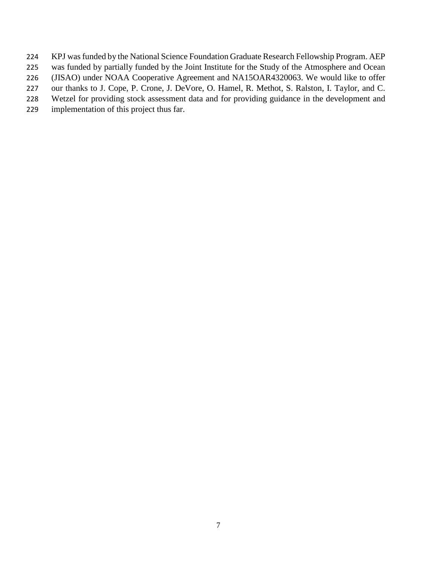- KPJ was funded by the National Science Foundation Graduate Research Fellowship Program. AEP
- was funded by partially funded by the Joint Institute for the Study of the Atmosphere and Ocean
- (JISAO) under NOAA Cooperative Agreement and NA15OAR4320063. We would like to offer
- our thanks to J. Cope, P. Crone, J. DeVore, O. Hamel, R. Methot, S. Ralston, I. Taylor, and C.
- Wetzel for providing stock assessment data and for providing guidance in the development and
- implementation of this project thus far.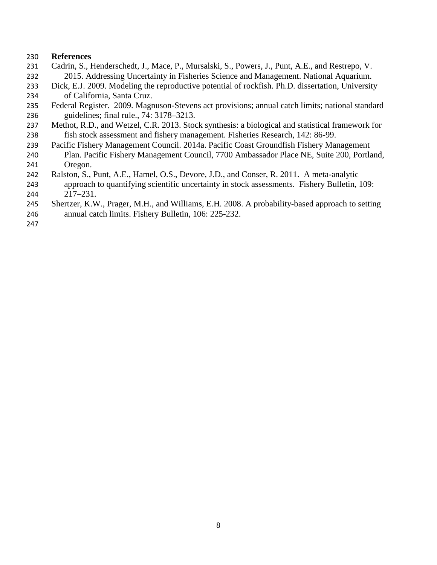#### **References**

- Cadrin, S., Henderschedt, J., Mace, P., Mursalski, S., Powers, J., Punt, A.E., and Restrepo, V. 2015. Addressing Uncertainty in Fisheries Science and Management. National Aquarium.
- Dick, E.J. 2009. Modeling the reproductive potential of rockfish. Ph.D. dissertation, University of California, Santa Cruz.
- Federal Register. 2009. Magnuson-Stevens act provisions; annual catch limits; national standard guidelines; final rule., 74: 3178–3213.
- Methot, R.D., and Wetzel, C.R. 2013. Stock synthesis: a biological and statistical framework for fish stock assessment and fishery management. Fisheries Research, 142: 86-99.
- Pacific Fishery Management Council. 2014a. Pacific Coast Groundfish Fishery Management Plan. Pacific Fishery Management Council, 7700 Ambassador Place NE, Suite 200, Portland, Oregon.
- Ralston, S., Punt, A.E., Hamel, O.S., Devore, J.D., and Conser, R. 2011. A meta-analytic
- approach to quantifying scientific uncertainty in stock assessments. Fishery Bulletin, 109: 217–231.
- Shertzer, K.W., Prager, M.H., and Williams, E.H. 2008. A probability-based approach to setting
- annual catch limits. Fishery Bulletin, 106: 225-232.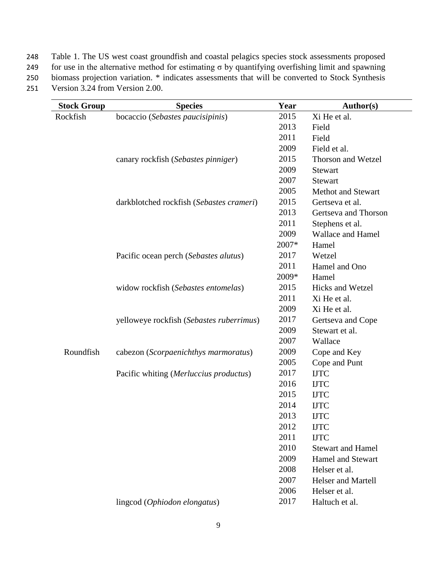Table 1. The US west coast groundfish and coastal pelagics species stock assessments proposed

249 for use in the alternative method for estimating σ by quantifying overfishing limit and spawning

 biomass projection variation. \* indicates assessments that will be converted to Stock Synthesis Version 3.24 from Version 2.00.

| <b>Stock Group</b> | <b>Species</b>                           | Year  | Author(s)                 |
|--------------------|------------------------------------------|-------|---------------------------|
| Rockfish           | bocaccio (Sebastes paucisipinis)         | 2015  | Xi He et al.              |
|                    |                                          | 2013  | Field                     |
|                    |                                          | 2011  | Field                     |
|                    |                                          | 2009  | Field et al.              |
|                    | canary rockfish (Sebastes pinniger)      | 2015  | Thorson and Wetzel        |
|                    |                                          | 2009  | <b>Stewart</b>            |
|                    |                                          | 2007  | <b>Stewart</b>            |
|                    |                                          | 2005  | <b>Methot and Stewart</b> |
|                    | darkblotched rockfish (Sebastes crameri) | 2015  | Gertseva et al.           |
|                    |                                          | 2013  | Gertseva and Thorson      |
|                    |                                          | 2011  | Stephens et al.           |
|                    |                                          | 2009  | <b>Wallace and Hamel</b>  |
|                    |                                          | 2007* | Hamel                     |
|                    | Pacific ocean perch (Sebastes alutus)    | 2017  | Wetzel                    |
|                    |                                          | 2011  | Hamel and Ono             |
|                    |                                          | 2009* | Hamel                     |
|                    | widow rockfish (Sebastes entomelas)      | 2015  | <b>Hicks and Wetzel</b>   |
|                    |                                          | 2011  | Xi He et al.              |
|                    |                                          | 2009  | Xi He et al.              |
|                    | yelloweye rockfish (Sebastes ruberrimus) | 2017  | Gertseva and Cope         |
|                    |                                          | 2009  | Stewart et al.            |
|                    |                                          | 2007  | Wallace                   |
| Roundfish          | cabezon (Scorpaenichthys marmoratus)     | 2009  | Cope and Key              |
|                    |                                          | 2005  | Cope and Punt             |
|                    | Pacific whiting (Merluccius productus)   | 2017  | <b>IJTC</b>               |
|                    |                                          | 2016  | <b>IJTC</b>               |
|                    |                                          | 2015  | <b>IJTC</b>               |
|                    |                                          | 2014  | <b>IJTC</b>               |
|                    |                                          | 2013  | <b>IJTC</b>               |
|                    |                                          | 2012  | <b>IJTC</b>               |
|                    |                                          | 2011  | <b>IJTC</b>               |
|                    |                                          | 2010  | <b>Stewart and Hamel</b>  |
|                    |                                          | 2009  | <b>Hamel and Stewart</b>  |
|                    |                                          | 2008  | Helser et al.             |
|                    |                                          | 2007  | <b>Helser and Martell</b> |
|                    |                                          | 2006  | Helser et al.             |
|                    | lingcod (Ophiodon elongatus)             | 2017  | Haltuch et al.            |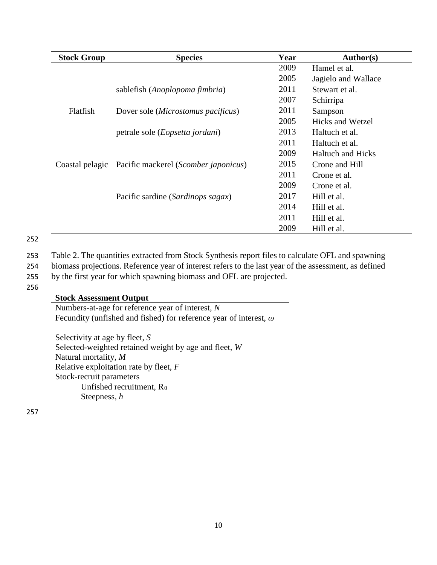| <b>Stock Group</b> | <b>Species</b>                                       | Year | <b>Author(s)</b>         |  |
|--------------------|------------------------------------------------------|------|--------------------------|--|
|                    |                                                      | 2009 | Hamel et al.             |  |
|                    |                                                      | 2005 | Jagielo and Wallace      |  |
|                    | sablefish (Anoplopoma fimbria)                       | 2011 | Stewart et al.           |  |
|                    |                                                      | 2007 | Schirripa                |  |
| Flatfish           | Dover sole ( <i>Microstomus pacificus</i> )          | 2011 | Sampson                  |  |
|                    |                                                      | 2005 | Hicks and Wetzel         |  |
|                    | petrale sole ( <i>Eopsetta jordani</i> )             | 2013 | Haltuch et al.           |  |
|                    |                                                      | 2011 | Haltuch et al.           |  |
|                    |                                                      | 2009 | <b>Haltuch and Hicks</b> |  |
|                    | Coastal pelagic Pacific mackerel (Scomber japonicus) | 2015 | Crone and Hill           |  |
|                    |                                                      | 2011 | Crone et al.             |  |
|                    |                                                      | 2009 | Crone et al.             |  |
|                    | Pacific sardine (Sardinops sagax)                    | 2017 | Hill et al.              |  |
|                    |                                                      | 2014 | Hill et al.              |  |
|                    |                                                      | 2011 | Hill et al.              |  |
|                    |                                                      | 2009 | Hill et al.              |  |

253 Table 2. The quantities extracted from Stock Synthesis report files to calculate OFL and spawning

254 biomass projections. Reference year of interest refers to the last year of the assessment, as defined

255 by the first year for which spawning biomass and OFL are projected.

256

### **Stock Assessment Output**

Numbers-at-age for reference year of interest, *N* Fecundity (unfished and fished) for reference year of interest, *ω*

Selectivity at age by fleet, *S* Selected-weighted retained weight by age and fleet, *W* Natural mortality, *M* Relative exploitation rate by fleet, *F* Stock-recruit parameters Unfished recruitment, R<sub>0</sub> Steepness, *h*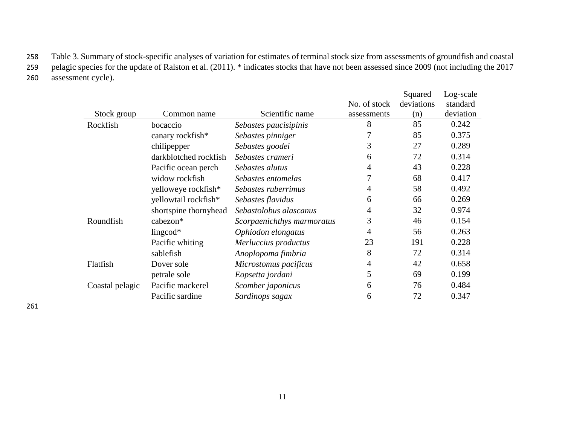258 Table 3. Summary of stock-specific analyses of variation for estimates of terminal stock size from assessments of groundfish and coastal 259 pelagic species for the update of Ralston et al. (2011). \* indicates stocks that have not been assessed since 2009 (not including the 2017 260 assessment cycle).

|                 |                       |                            |              | Squared    | Log-scale |
|-----------------|-----------------------|----------------------------|--------------|------------|-----------|
|                 |                       |                            | No. of stock | deviations | standard  |
| Stock group     | Common name           | Scientific name            | assessments  | (n)        | deviation |
| Rockfish        | bocaccio              | Sebastes paucisipinis      | 8            | 85         | 0.242     |
|                 | canary rockfish*      | Sebastes pinniger          |              | 85         | 0.375     |
|                 | chilipepper           | Sebastes goodei            | 3            | 27         | 0.289     |
|                 | darkblotched rockfish | Sebastes crameri           | 6            | 72         | 0.314     |
|                 | Pacific ocean perch   | Sebastes alutus            | 4            | 43         | 0.228     |
|                 | widow rockfish        | Sebastes entomelas         | 7            | 68         | 0.417     |
|                 | yelloweye rockfish*   | Sebastes ruberrimus        | 4            | 58         | 0.492     |
|                 | yellowtail rockfish*  | Sebastes flavidus          | 6            | 66         | 0.269     |
|                 | shortspine thornyhead | Sebastolobus alascanus     | 4            | 32         | 0.974     |
| Roundfish       | cabezon*              | Scorpaenichthys marmoratus | 3            | 46         | 0.154     |
|                 | lingcod $*$           | Ophiodon elongatus         | 4            | 56         | 0.263     |
|                 | Pacific whiting       | Merluccius productus       | 23           | 191        | 0.228     |
|                 | sablefish             | Anoplopoma fimbria         | 8            | 72         | 0.314     |
| Flatfish        | Dover sole            | Microstomus pacificus      | 4            | 42         | 0.658     |
|                 | petrale sole          | Eopsetta jordani           | 5            | 69         | 0.199     |
| Coastal pelagic | Pacific mackerel      | Scomber japonicus          | 6            | 76         | 0.484     |
|                 | Pacific sardine       | Sardinops sagax            | 6            | 72         | 0.347     |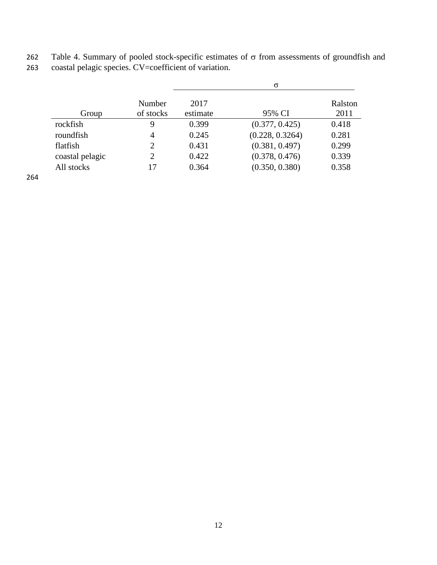|                 |                     | $\sigma$         |                 |                 |  |
|-----------------|---------------------|------------------|-----------------|-----------------|--|
| Group           | Number<br>of stocks | 2017<br>estimate | 95% CI          | Ralston<br>2011 |  |
| rockfish        | 9                   | 0.399            | (0.377, 0.425)  | 0.418           |  |
| roundfish       | 4                   | 0.245            | (0.228, 0.3264) | 0.281           |  |
| flatfish        | 2                   | 0.431            | (0.381, 0.497)  | 0.299           |  |
| coastal pelagic | 2                   | 0.422            | (0.378, 0.476)  | 0.339           |  |
| All stocks      | 17                  | 0.364            | (0.350, 0.380)  | 0.358           |  |

262 Table 4. Summary of pooled stock-specific estimates of σ from assessments of groundfish and 263 coastal pelagic species. CV=coefficient of variation.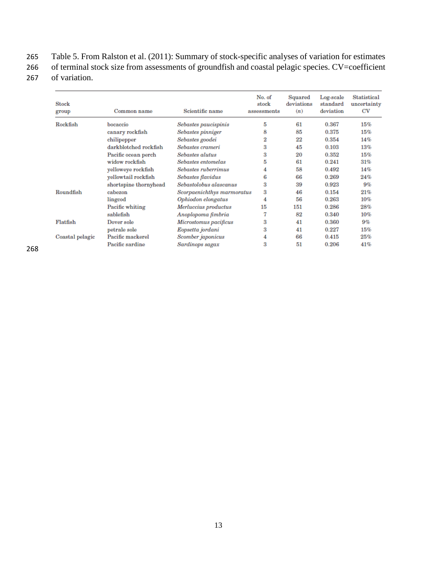Table 5. From Ralston et al. (2011): Summary of stock-specific analyses of variation for estimates

266 of terminal stock size from assessments of groundfish and coastal pelagic species. CV=coefficient of variation.

| <b>Stock</b><br>group | Common name           | Scientific name            | No. of<br>stock<br>assessments | Squared<br>deviations<br>(n) | Log-scale<br>standard<br>deviation | <b>Statistical</b><br>uncertainty<br>CV |
|-----------------------|-----------------------|----------------------------|--------------------------------|------------------------------|------------------------------------|-----------------------------------------|
| Rockfish              | bocaccio              | Sebastes paucispinis       | 5                              | 61                           | 0.367                              | 15%                                     |
|                       | canary rockfish       | Sebastes pinniger          | 8                              | 85                           | 0.375                              | 15%                                     |
|                       | chilipepper           | Sebastes goodei            | 2                              | 22                           | 0.354                              | 14%                                     |
|                       | darkblotched rockfish | Sebastes crameri           | 3                              | 45                           | 0.103                              | 13%                                     |
|                       | Pacific ocean perch   | Sebastes alutus            | 3                              | 20                           | 0.352                              | 15%                                     |
|                       | widow rockfish        | Sebastes entomelas         | 5                              | 61                           | 0.241                              | 31%                                     |
|                       | yelloweye rockfish    | <b>Sebastes ruberrimus</b> | 4                              | 58                           | 0.492                              | 14%                                     |
|                       | yellowtail rockfish   | Sebastes flavidus          | 6                              | 66                           | 0.269                              | 24%                                     |
|                       | shortspine thornyhead | Sebastolobus alascanus     | 3                              | 39                           | 0.923                              | 9%                                      |
| Roundfish             | cabezon               | Scorpaenichthys marmoratus | 3                              | 46                           | 0.154                              | 21%                                     |
|                       | lingcod               | Ophiodon elongatus         | 4                              | 56                           | 0.263                              | 10%                                     |
|                       | Pacific whiting       | Merluccius productus       | 15                             | 151                          | 0.286                              | 28%                                     |
|                       | sablefish             | Anoplopoma fimbria         | 7                              | 82                           | 0.340                              | 10%                                     |
| Flatfish              | Dover sole            | Microstomus pacificus      | 3                              | 41                           | 0.360                              | 9%                                      |
|                       | petrale sole          | Eopsetta jordani           | 3                              | 41                           | 0.227                              | 15%                                     |
| Coastal pelagic       | Pacific mackerel      | Scomber japonicus          | 4                              | 66                           | 0.415                              | 25%                                     |
|                       | Pacific sardine       | Sardinops sagax            | 3                              | 51                           | 0.206                              | 41%                                     |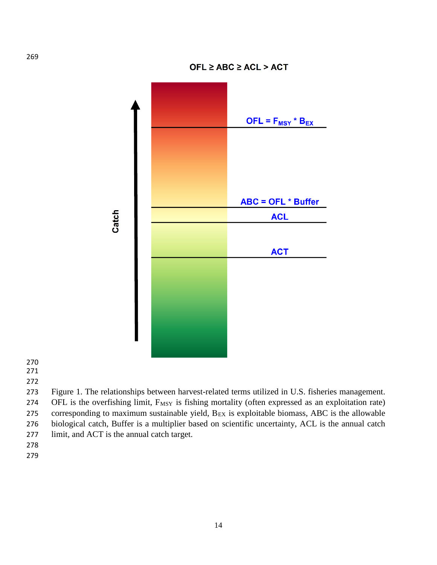

 Figure 1. The relationships between harvest-related terms utilized in U.S. fisheries management. 274 OFL is the overfishing limit, F<sub>MSY</sub> is fishing mortality (often expressed as an exploitation rate) 275 corresponding to maximum sustainable yield,  $B_{EX}$  is exploitable biomass, ABC is the allowable biological catch, Buffer is a multiplier based on scientific uncertainty, ACL is the annual catch

- limit, and ACT is the annual catch target.
- 
-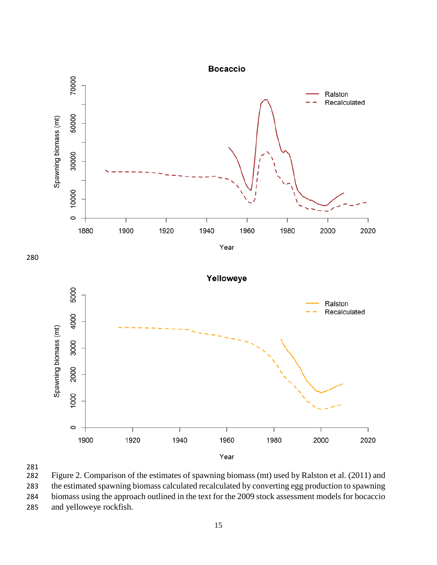

281<br>282

Figure 2. Comparison of the estimates of spawning biomass (mt) used by Ralston et al. (2011) and the estimated spawning biomass calculated recalculated by converting egg production to spawning biomass using the approach outlined in the text for the 2009 stock assessment models for bocaccio and yelloweye rockfish.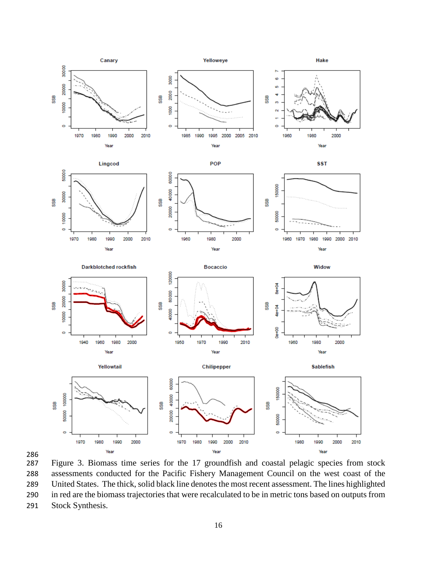

286<br>287

Figure 3. Biomass time series for the 17 groundfish and coastal pelagic species from stock assessments conducted for the Pacific Fishery Management Council on the west coast of the United States. The thick, solid black line denotes the most recent assessment. The lines highlighted in red are the biomass trajectories that were recalculated to be in metric tons based on outputs from Stock Synthesis.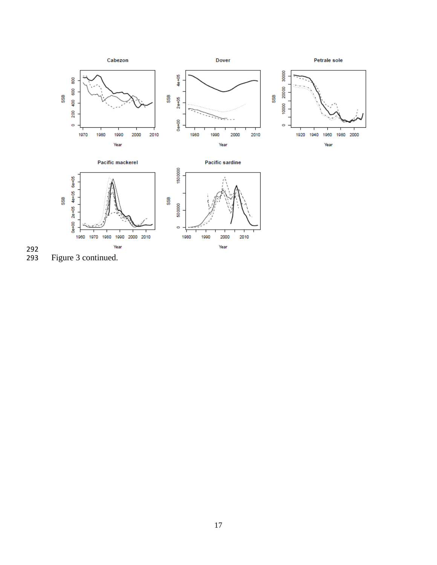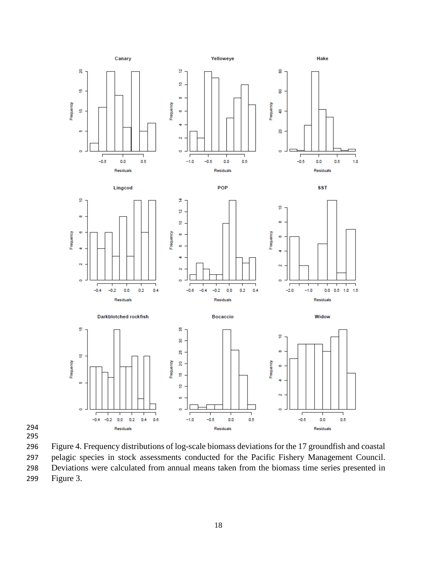



Figure 4. Frequency distributions of log-scale biomass deviations for the 17 groundfish and coastal

 pelagic species in stock assessments conducted for the Pacific Fishery Management Council. Deviations were calculated from annual means taken from the biomass time series presented in

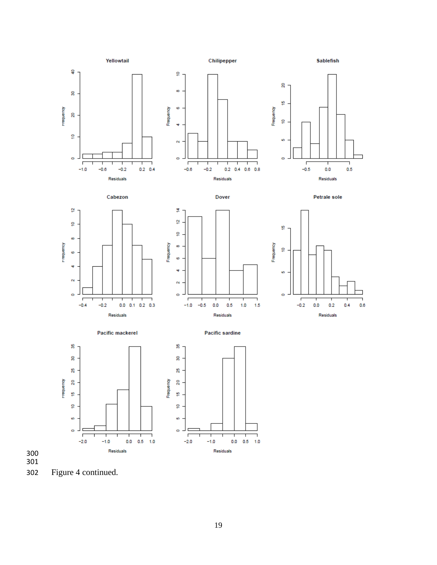

Figure 4 continued.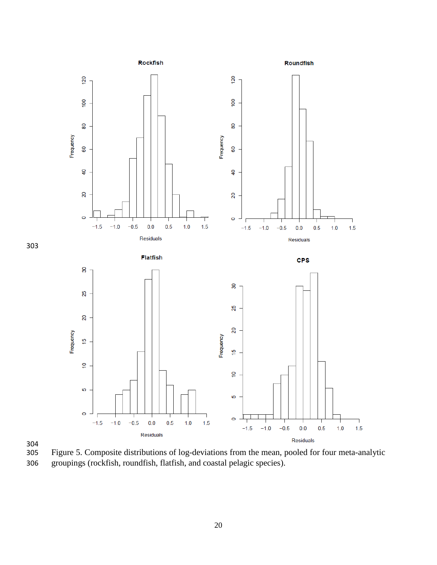



Figure 5. Composite distributions of log-deviations from the mean, pooled for four meta-analytic groupings (rockfish, roundfish, flatfish, and coastal pelagic species).